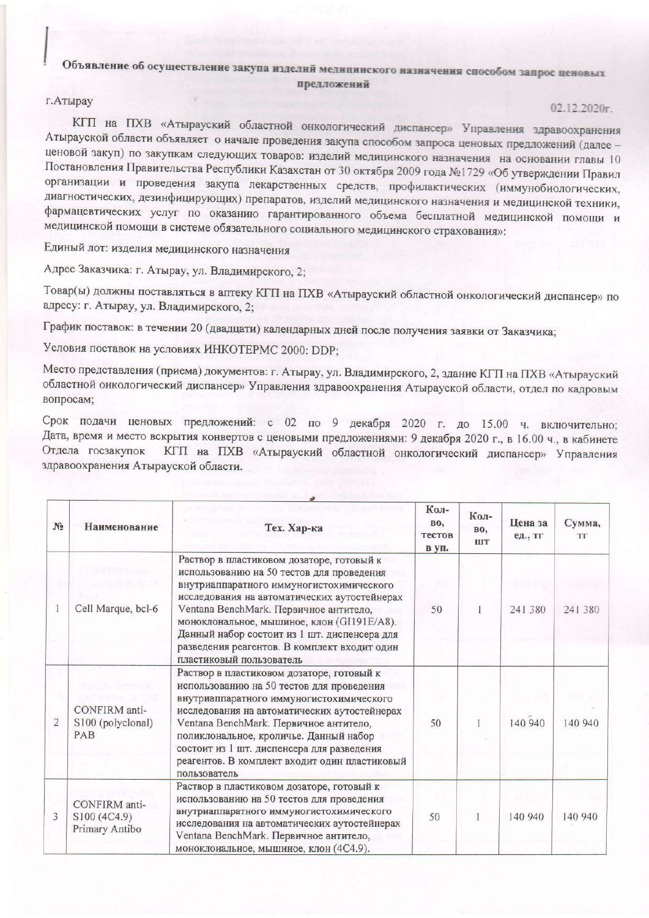## Объявление об осуществление закупа изделий медицинского назначения способом запрос ценовых предложений

## г. Атырау

 $02.12.2020r$ 

КГП на ПХВ «Атырауский областной онкологический диспансер» Управления здравоохранения Атырауской области объявляет о начале проведения закупа способом запроса ценовых предложений (далее ценовой закуп) по закупкам следующих товаров: изделий медицинского назначения на основании главы 10 Постановления Правительства Республики Казахстан от 30 октября 2009 года №1729 «Об утверждении Правил организации и проведения закупа лекарственных средств, профилактических (иммунобиологических, диагностических, дезинфицирующих) препаратов, изделий медицинского назначения и медицинской техники, фармацевтических услуг по оказанию гарантированного объема бесплатной медицинской помощи и медицинской помощи в системе обязательного социального медицинского страхования»:

Единый лот: изделия медицинского назначения

Адрес Заказчика: г. Атырау, ул. Владимирского, 2;

Товар(ы) должны поставляться в аптеку КГП на ПХВ «Атырауский областной онкологический диспансер» по адресу: г. Атырау, ул. Владимирского, 2;

График поставок: в течении 20 (двадцати) календарных дней после получения заявки от Заказчика;

Условия поставок на условиях ИНКОТЕРМС 2000: DDP;

Место представления (приема) документов: г. Атырау, ул. Владимирского, 2, здание КГП на ПХВ «Атырауский областной онкологический диспансер» Управления здравоохранения Атырауской области, отдел по кадровым вопросам;

Срок подачи ценовых предложений: с 02 по 9 декабря 2020 г. до 15.00 ч. включительно; Дата, время и место вскрытия конвертов с ценовыми предложениями: 9 декабря 2020 г., в 16.00 ч., в кабинете Отдела госзакупок КГП на ПХВ «Атырауский областной онкологический диспансер» Управления здравоохранения Атырауской области.

| N <sub>2</sub> | Наименование                                    | Тех. Хар-ка                                                                                                                                                                                                                                                                                                                                                                                            | Кол-<br><b>BO,</b><br>тестов<br>в уп. | Кол-<br><b>BO.</b><br><b>IIIT</b> | Цена за<br>ед., тг | Сумма,<br><b>TF</b> |
|----------------|-------------------------------------------------|--------------------------------------------------------------------------------------------------------------------------------------------------------------------------------------------------------------------------------------------------------------------------------------------------------------------------------------------------------------------------------------------------------|---------------------------------------|-----------------------------------|--------------------|---------------------|
|                | Cell Marque, bcl-6                              | Раствор в пластиковом дозаторе, готовый к<br>использованию на 50 тестов для проведения<br>внутриаппаратного иммуногистохимического<br>исследования на автоматических аутостейнерах<br>Ventana BenchMark. Первичное антитело,<br>моноклональное, мышиное, клон (GI191E/A8).<br>Данный набор состоит из 1 шт. диспенсера для<br>разведения реагентов. В комплект входит один<br>пластиковый пользователь | 50                                    |                                   | 241 380            | 241 380             |
| $\overline{2}$ | CONFIRM anti-<br>S100 (polyclonal)<br>PAB       | Раствор в пластиковом дозаторе, готовый к<br>использованию на 50 тестов для проведения<br>внутриаппаратного иммуногистохимического<br>исследования на автоматических аутостейнерах<br>Ventana BenchMark. Первичное антитело,<br>поликлональное, кроличье. Данный набор<br>состоит из 1 шт. диспенсера для разведения<br>реагентов. В комплект входит один пластиковый<br>пользователь                  | 50                                    |                                   | 140 940            | 140 940             |
| 3              | CONFIRM anti-<br>S100 (4C4.9)<br>Primary Antibo | Раствор в пластиковом дозаторе, готовый к<br>использованию на 50 тестов для проведения<br>внутриаппаратного иммуногистохимического<br>исследования на автоматических аутостейнерах<br>Ventana BenchMark. Первичное антитело,<br>моноклональное, мышиное, клон (4С4.9).                                                                                                                                 | 50                                    |                                   | 140 940            | 140 940             |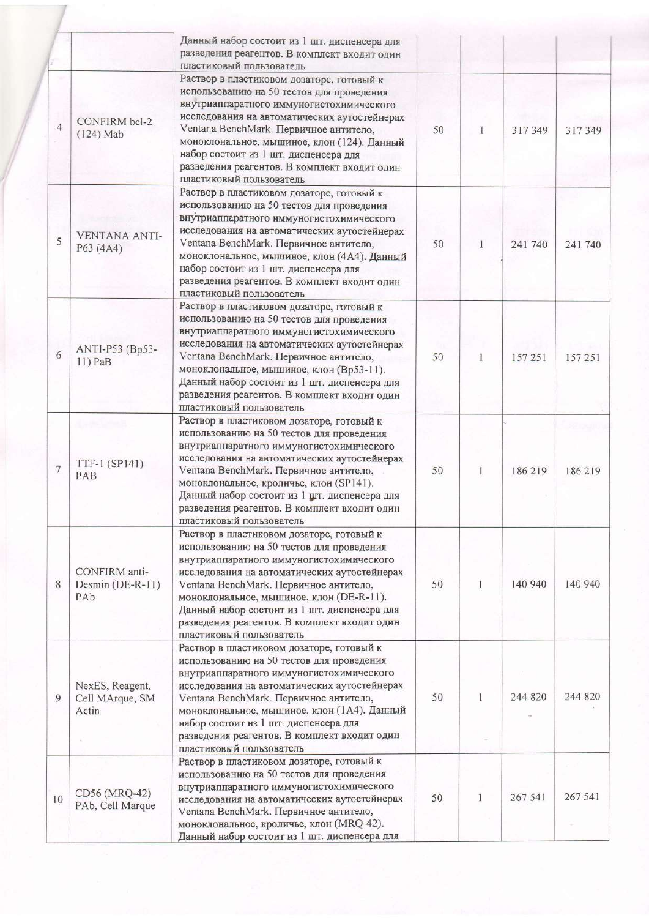|                |                                             | Данный набор состоит из 1 шт. диспенсера для<br>разведения реагентов. В комплект входит один<br>пластиковый пользователь                                                                                                                                                                                                                                                                             |    |   |         |         |
|----------------|---------------------------------------------|------------------------------------------------------------------------------------------------------------------------------------------------------------------------------------------------------------------------------------------------------------------------------------------------------------------------------------------------------------------------------------------------------|----|---|---------|---------|
| $\overline{4}$ | CONFIRM bcl-2<br>$(124)$ Mab                | Раствор в пластиковом дозаторе, готовый к<br>использованию на 50 тестов для проведения<br>внутриаппаратного иммуногистохимического<br>исследования на автоматических аутостейнерах<br>Ventana BenchMark. Первичное антитело,<br>моноклональное, мышиное, клон (124). Данный<br>набор состоит из 1 шт. диспенсера для<br>разведения реагентов. В комплект входит один<br>пластиковый пользователь     | 50 | 1 | 317349  | 317349  |
| 5              | <b>VENTANA ANTI-</b><br>P63 (4A4)           | Раствор в пластиковом дозаторе, готовый к<br>использованию на 50 тестов для проведения<br>внутриаппаратного иммуногистохимического<br>исследования на автоматических аутостейнерах<br>Ventana BenchMark. Первичное антитело,<br>моноклональное, мышиное, клон (4А4). Данный<br>набор состоит из 1 шт. диспенсера для<br>разведения реагентов. В комплект входит один<br>пластиковый пользователь     | 50 | 1 | 241 740 | 241 740 |
| 6              | ANTI-P53 (Bp53-<br>11) PaB                  | Раствор в пластиковом дозаторе, готовый к<br>использованию на 50 тестов для проведения<br>внутриаппаратного иммуногистохимического<br>исследования на автоматических аутостейнерах<br>Ventana BenchMark. Первичное антитело,<br>моноклональное, мышиное, клон (Вр53-11).<br>Данный набор состоит из 1 шт. диспенсера для<br>разведения реагентов. В комплект входит один<br>пластиковый пользователь | 50 | 1 | 157251  | 157 251 |
| 7              | TTF-1 (SP141)<br>PAB                        | Раствор в пластиковом дозаторе, готовый к<br>использованию на 50 тестов для проведения<br>внутриаппаратного иммуногистохимического<br>исследования на автоматических аутостейнерах<br>Ventana BenchMark. Первичное антитело,<br>моноклональное, кроличье, клон (SP141).<br>Данный набор состоит из 1 шт. диспенсера для<br>разведения реагентов. В комплект входит один<br>пластиковый пользователь  | 50 | 1 | 186 219 | 186219  |
| 8              | CONFIRM anti-<br>Desmin (DE-R-11)<br>PAb    | Раствор в пластиковом дозаторе, готовый к<br>использованию на 50 тестов для проведения<br>внутриаппаратного иммуногистохимического<br>исследования на автоматических аутостейнерах<br>Ventana BenchMark. Первичное антитело,<br>моноклональное, мышиное, клон (DE-R-11).<br>Данный набор состоит из 1 шт. диспенсера для<br>разведения реагентов. В комплект входит один<br>пластиковый пользователь | 50 | 1 | 140 940 | 140 940 |
| 9              | NexES, Reagent,<br>Cell MArque, SM<br>Actin | Раствор в пластиковом дозаторе, готовый к<br>использованию на 50 тестов для проведения<br>внутриаппаратного иммуногистохимического<br>исследования на автоматических аутостейнерах<br>Ventana BenchMark. Первичное антитело,<br>моноклональное, мышиное, клон (1А4). Данный<br>набор состоит из 1 шт. диспенсера для<br>разведения реагентов. В комплект входит один<br>пластиковый пользователь     | 50 | 1 | 244 820 | 244 820 |
| 10             | CD56 (MRQ-42)<br>PAb, Cell Marque           | Раствор в пластиковом дозаторе, готовый к<br>использованию на 50 тестов для проведения<br>внутриаппаратного иммуногистохимического<br>исследования на автоматических аутостейнерах<br>Ventana BenchMark. Первичное антитело,<br>моноклональное, кроличье, клон (MRQ-42).<br>Данный набор состоит из 1 шт. диспенсера для                                                                             | 50 |   | 267 541 | 267 541 |